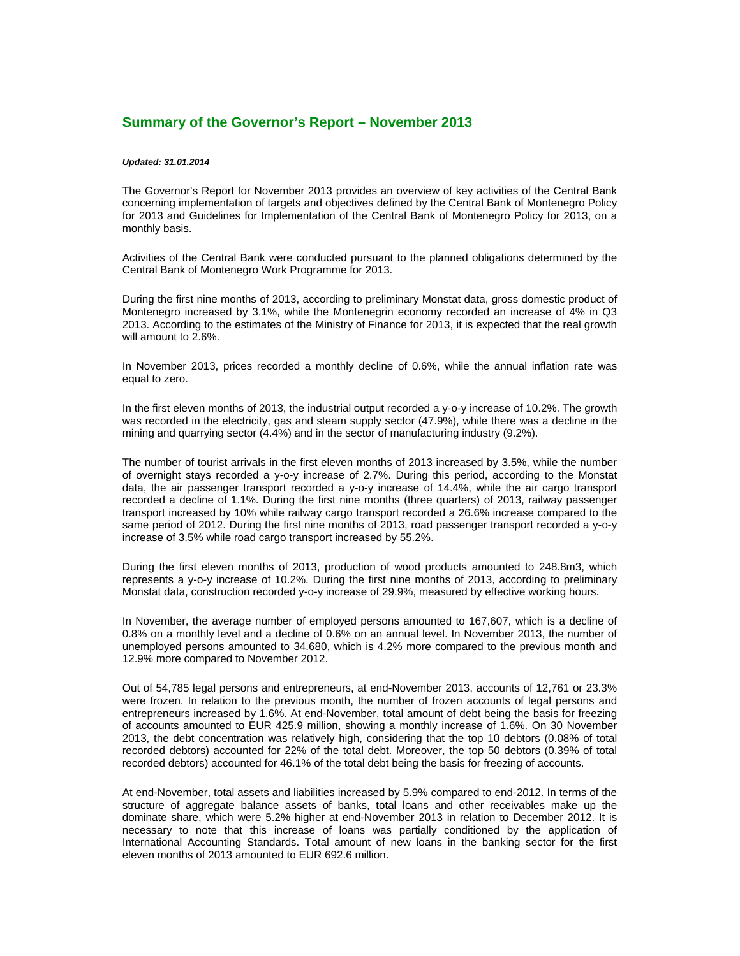## **Summary of the Governor's Report – November 2013**

## *Updated: 31.01.2014*

The Governor's Report for November 2013 provides an overview of key activities of the Central Bank concerning implementation of targets and objectives defined by the Central Bank of Montenegro Policy for 2013 and Guidelines for Implementation of the Central Bank of Montenegro Policy for 2013, on a monthly basis.

Activities of the Central Bank were conducted pursuant to the planned obligations determined by the Central Bank of Montenegro Work Programme for 2013.

During the first nine months of 2013, according to preliminary Monstat data, gross domestic product of Montenegro increased by 3.1%, while the Montenegrin economy recorded an increase of 4% in Q3 2013. According to the estimates of the Ministry of Finance for 2013, it is expected that the real growth will amount to 2.6%.

In November 2013, prices recorded a monthly decline of 0.6%, while the annual inflation rate was equal to zero.

In the first eleven months of 2013, the industrial output recorded a y-o-y increase of 10.2%. The growth was recorded in the electricity, gas and steam supply sector (47.9%), while there was a decline in the mining and quarrying sector (4.4%) and in the sector of manufacturing industry (9.2%).

The number of tourist arrivals in the first eleven months of 2013 increased by 3.5%, while the number of overnight stays recorded a y-o-y increase of 2.7%. During this period, according to the Monstat data, the air passenger transport recorded a y-o-y increase of 14.4%, while the air cargo transport recorded a decline of 1.1%. During the first nine months (three quarters) of 2013, railway passenger transport increased by 10% while railway cargo transport recorded a 26.6% increase compared to the same period of 2012. During the first nine months of 2013, road passenger transport recorded a y-o-y increase of 3.5% while road cargo transport increased by 55.2%.

During the first eleven months of 2013, production of wood products amounted to 248.8m3, which represents a y-o-y increase of 10.2%. During the first nine months of 2013, according to preliminary Monstat data, construction recorded y-o-y increase of 29.9%, measured by effective working hours.

In November, the average number of employed persons amounted to 167,607, which is a decline of 0.8% on a monthly level and a decline of 0.6% on an annual level. In November 2013, the number of unemployed persons amounted to 34.680, which is 4.2% more compared to the previous month and 12.9% more compared to November 2012.

Out of 54,785 legal persons and entrepreneurs, at end-November 2013, accounts of 12,761 or 23.3% were frozen. In relation to the previous month, the number of frozen accounts of legal persons and entrepreneurs increased by 1.6%. At end-November, total amount of debt being the basis for freezing of accounts amounted to EUR 425.9 million, showing a monthly increase of 1.6%. On 30 November 2013, the debt concentration was relatively high, considering that the top 10 debtors (0.08% of total recorded debtors) accounted for 22% of the total debt. Moreover, the top 50 debtors (0.39% of total recorded debtors) accounted for 46.1% of the total debt being the basis for freezing of accounts.

At end-November, total assets and liabilities increased by 5.9% compared to end-2012. In terms of the structure of aggregate balance assets of banks, total loans and other receivables make up the dominate share, which were 5.2% higher at end-November 2013 in relation to December 2012. It is necessary to note that this increase of loans was partially conditioned by the application of International Accounting Standards. Total amount of new loans in the banking sector for the first eleven months of 2013 amounted to EUR 692.6 million.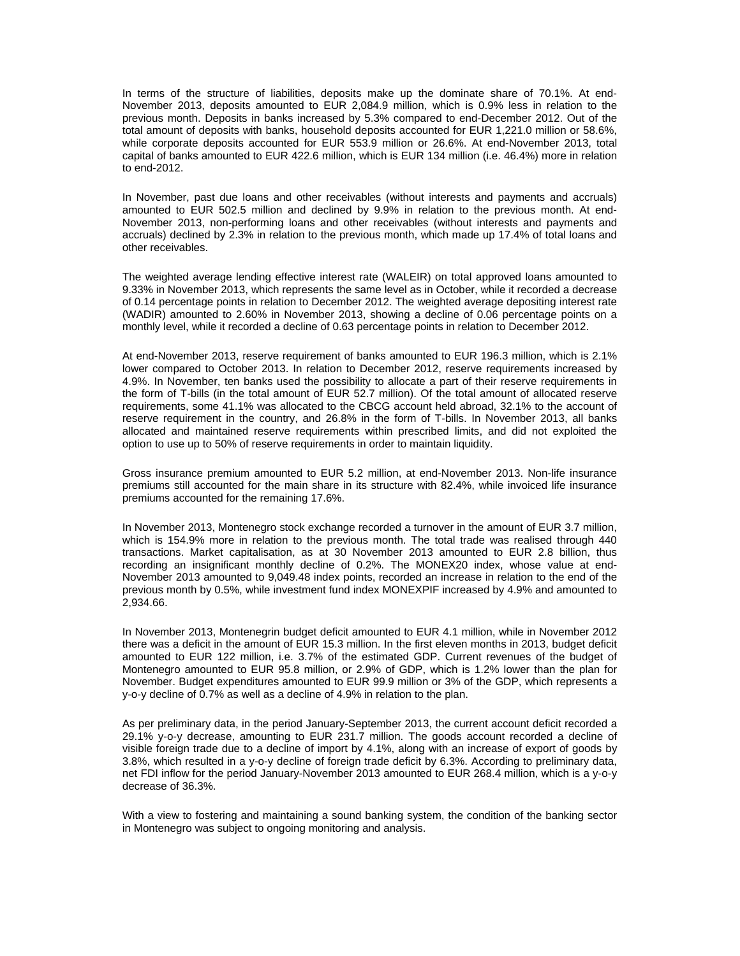In terms of the structure of liabilities, deposits make up the dominate share of 70.1%. At end-November 2013, deposits amounted to EUR 2,084.9 million, which is 0.9% less in relation to the previous month. Deposits in banks increased by 5.3% compared to end-December 2012. Out of the total amount of deposits with banks, household deposits accounted for EUR 1,221.0 million or 58.6%, while corporate deposits accounted for EUR 553.9 million or 26.6%. At end-November 2013, total capital of banks amounted to EUR 422.6 million, which is EUR 134 million (i.e. 46.4%) more in relation to end-2012.

In November, past due loans and other receivables (without interests and payments and accruals) amounted to EUR 502.5 million and declined by 9.9% in relation to the previous month. At end-November 2013, non-performing loans and other receivables (without interests and payments and accruals) declined by 2.3% in relation to the previous month, which made up 17.4% of total loans and other receivables.

The weighted average lending effective interest rate (WALEIR) on total approved loans amounted to 9.33% in November 2013, which represents the same level as in October, while it recorded a decrease of 0.14 percentage points in relation to December 2012. The weighted average depositing interest rate (WADIR) amounted to 2.60% in November 2013, showing a decline of 0.06 percentage points on a monthly level, while it recorded a decline of 0.63 percentage points in relation to December 2012.

At end-November 2013, reserve requirement of banks amounted to EUR 196.3 million, which is 2.1% lower compared to October 2013. In relation to December 2012, reserve requirements increased by 4.9%. In November, ten banks used the possibility to allocate a part of their reserve requirements in the form of T-bills (in the total amount of EUR 52.7 million). Of the total amount of allocated reserve requirements, some 41.1% was allocated to the CBCG account held abroad, 32.1% to the account of reserve requirement in the country, and 26.8% in the form of T-bills. In November 2013, all banks allocated and maintained reserve requirements within prescribed limits, and did not exploited the option to use up to 50% of reserve requirements in order to maintain liquidity.

Gross insurance premium amounted to EUR 5.2 million, at end-November 2013. Non-life insurance premiums still accounted for the main share in its structure with 82.4%, while invoiced life insurance premiums accounted for the remaining 17.6%.

In November 2013, Montenegro stock exchange recorded a turnover in the amount of EUR 3.7 million, which is 154.9% more in relation to the previous month. The total trade was realised through 440 transactions. Market capitalisation, as at 30 November 2013 amounted to EUR 2.8 billion, thus recording an insignificant monthly decline of 0.2%. The MONEX20 index, whose value at end-November 2013 amounted to 9,049.48 index points, recorded an increase in relation to the end of the previous month by 0.5%, while investment fund index MONEXPIF increased by 4.9% and amounted to 2,934.66.

In November 2013, Montenegrin budget deficit amounted to EUR 4.1 million, while in November 2012 there was a deficit in the amount of EUR 15.3 million. In the first eleven months in 2013, budget deficit amounted to EUR 122 million, i.e. 3.7% of the estimated GDP. Current revenues of the budget of Montenegro amounted to EUR 95.8 million, or 2.9% of GDP, which is 1.2% lower than the plan for November. Budget expenditures amounted to EUR 99.9 million or 3% of the GDP, which represents a y-o-y decline of 0.7% as well as a decline of 4.9% in relation to the plan.

As per preliminary data, in the period January-September 2013, the current account deficit recorded a 29.1% y-o-y decrease, amounting to EUR 231.7 million. The goods account recorded a decline of visible foreign trade due to a decline of import by 4.1%, along with an increase of export of goods by 3.8%, which resulted in a y-o-y decline of foreign trade deficit by 6.3%. According to preliminary data, net FDI inflow for the period January-November 2013 amounted to EUR 268.4 million, which is a y-o-y decrease of 36.3%.

With a view to fostering and maintaining a sound banking system, the condition of the banking sector in Montenegro was subject to ongoing monitoring and analysis.